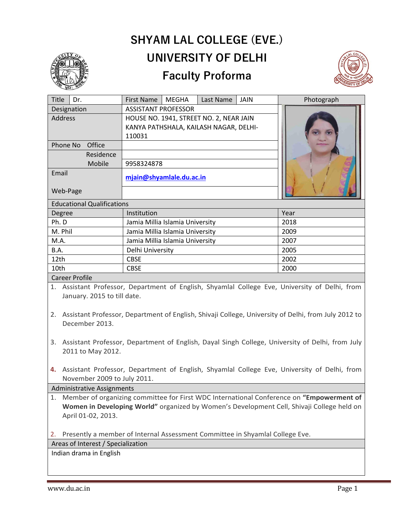

## **(PLEASE FILL THIS IN AND Email it to [principal@shyamlale.du.ac.in](mailto:principal@shyamlale.du.ac.in) ) SHYAM LAL COLLEGE (EVE.) UNIVERSITY OF DELHI**

## **Faculty Proforma**



| Title                                                                                          | Dr.       | <b>First Name</b>                       | <b>MEGHA</b> | Last Name | <b>JAIN</b> | Photograph |  |
|------------------------------------------------------------------------------------------------|-----------|-----------------------------------------|--------------|-----------|-------------|------------|--|
| Designation                                                                                    |           | <b>ASSISTANT PROFESSOR</b>              |              |           |             |            |  |
| <b>Address</b>                                                                                 |           | HOUSE NO. 1941, STREET NO. 2, NEAR JAIN |              |           |             |            |  |
|                                                                                                |           | KANYA PATHSHALA, KAILASH NAGAR, DELHI-  |              |           |             |            |  |
|                                                                                                |           | 110031                                  |              |           |             |            |  |
| Phone No                                                                                       | Office    |                                         |              |           |             |            |  |
|                                                                                                | Residence |                                         |              |           |             |            |  |
|                                                                                                | Mobile    | 9958324878                              |              |           |             |            |  |
| Email                                                                                          |           | mjain@shyamlale.du.ac.in                |              |           |             |            |  |
|                                                                                                |           |                                         |              |           |             |            |  |
| Web-Page                                                                                       |           |                                         |              |           |             |            |  |
| <b>Educational Qualifications</b>                                                              |           |                                         |              |           |             |            |  |
| Degree                                                                                         |           | Institution                             |              |           |             | Year       |  |
| Ph. D                                                                                          |           | Jamia Millia Islamia University         |              |           |             | 2018       |  |
| M. Phil                                                                                        |           | Jamia Millia Islamia University         |              |           |             | 2009       |  |
| M.A.                                                                                           |           | Jamia Millia Islamia University         |              |           | 2007        |            |  |
| B.A.                                                                                           |           | Delhi University                        |              |           |             | 2005       |  |
| 12th                                                                                           |           | <b>CBSE</b>                             |              |           |             | 2002       |  |
| 10th                                                                                           |           | <b>CBSE</b>                             |              |           | 2000        |            |  |
| <b>Career Profile</b>                                                                          |           |                                         |              |           |             |            |  |
| 1. Assistant Professor, Department of English, Shyamlal College Eve, University of Delhi, from |           |                                         |              |           |             |            |  |
| January. 2015 to till date.                                                                    |           |                                         |              |           |             |            |  |

2. Assistant Professor, Department of English, Shivaji College, University of Delhi, from July 2012 to December 2013.

- 3. Assistant Professor, Department of English, Dayal Singh College, University of Delhi, from July 2011 to May 2012.
- **4.** Assistant Professor, Department of English, Shyamlal College Eve, University of Delhi, from November 2009 to July 2011.

Administrative Assignments

1. Member of organizing committee for First WDC International Conference on **"Empowerment of Women in Developing World"** organized by Women's Development Cell, Shivaji College held on April 01-02, 2013.

2. Presently a member of Internal Assessment Committee in Shyamlal College Eve.

Areas of Interest / Specialization

Indian drama in English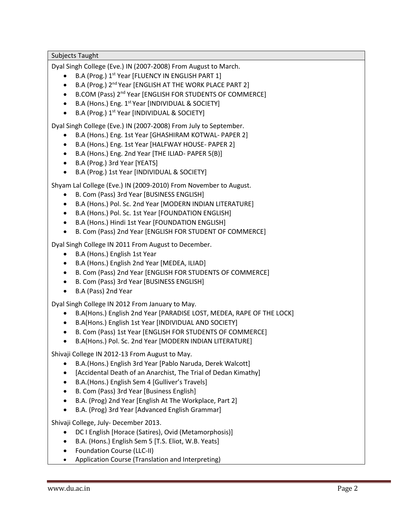## Subjects Taught

Dyal Singh College (Eve.) IN (2007-2008) From August to March.

- B.A (Prog.) 1st Year [FLUENCY IN ENGLISH PART 1]
- B.A (Prog.) 2<sup>nd</sup> Year [ENGLISH AT THE WORK PLACE PART 2]
- B.COM (Pass) 2<sup>nd</sup> Year [ENGLISH FOR STUDENTS OF COMMERCE]
- $\bullet$  B.A (Hons.) Eng. 1<sup>st</sup> Year [INDIVIDUAL & SOCIETY]
- B.A (Prog.) 1<sup>st</sup> Year [INDIVIDUAL & SOCIETY]

Dyal Singh College (Eve.) IN (2007-2008) From July to September.

- B.A (Hons.) Eng. 1st Year [GHASHIRAM KOTWAL- PAPER 2]
- B.A (Hons.) Eng. 1st Year [HALFWAY HOUSE- PAPER 2]
- B.A (Hons.) Eng. 2nd Year [THE ILIAD- PAPER 5(B)]
- B.A (Prog.) 3rd Year [YEATS]
- B.A (Prog.) 1st Year [INDIVIDUAL & SOCIETY]

Shyam Lal College (Eve.) IN (2009-2010) From November to August.

- B. Com (Pass) 3rd Year [BUSINESS ENGLISH]
- B.A (Hons.) Pol. Sc. 2nd Year [MODERN INDIAN LITERATURE]
- B.A (Hons.) Pol. Sc. 1st Year [FOUNDATION ENGLISH]
- B.A (Hons.) Hindi 1st Year [FOUNDATION ENGLISH]
- B. Com (Pass) 2nd Year [ENGLISH FOR STUDENT OF COMMERCE]

Dyal Singh College IN 2011 From August to December.

- B.A (Hons.) English 1st Year
- B.A (Hons.) English 2nd Year [MEDEA, ILIAD]
- B. Com (Pass) 2nd Year [ENGLISH FOR STUDENTS OF COMMERCE]
- B. Com (Pass) 3rd Year [BUSINESS ENGLISH]
- B.A (Pass) 2nd Year

Dyal Singh College IN 2012 From January to May.

- B.A(Hons.) English 2nd Year [PARADISE LOST, MEDEA, RAPE OF THE LOCK]
- B.A(Hons.) English 1st Year [INDIVIDUAL AND SOCIETY]
- B. Com (Pass) 1st Year [ENGLISH FOR STUDENTS OF COMMERCE]
- B.A(Hons.) Pol. Sc. 2nd Year [MODERN INDIAN LITERATURE]

Shivaji College IN 2012-13 From August to May.

- B.A.(Hons.) English 3rd Year [Pablo Naruda, Derek Walcott]
- [Accidental Death of an Anarchist, The Trial of Dedan Kimathy]
- B.A.(Hons.) English Sem 4 [Gulliver's Travels]
- B. Com (Pass) 3rd Year [Business English]
- B.A. (Prog) 2nd Year [English At The Workplace, Part 2]
- B.A. (Prog) 3rd Year [Advanced English Grammar]

Shivaji College, July- December 2013.

- DC I English [Horace (Satires), Ovid (Metamorphosis)]
- B.A. (Hons.) English Sem 5 [T.S. Eliot, W.B. Yeats]
- Foundation Course (LLC-II)
- Application Course (Translation and Interpreting)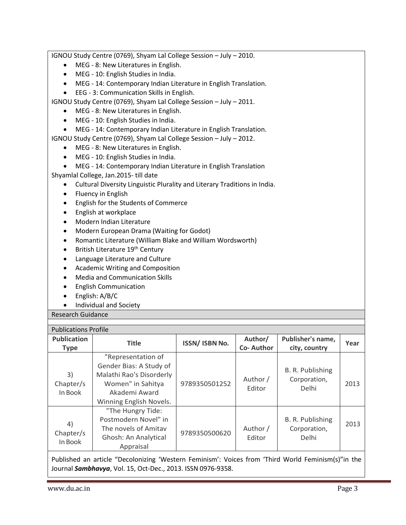IGNOU Study Centre (0769), Shyam Lal College Session – July – 2010. • MEG - 8: New Literatures in English. • MEG - 10: English Studies in India. • MEG - 14: Contemporary Indian Literature in English Translation. • EEG - 3: Communication Skills in English. IGNOU Study Centre (0769), Shyam Lal College Session – July – 2011. • MEG - 8: New Literatures in English. • MEG - 10: English Studies in India. • MEG - 14: Contemporary Indian Literature in English Translation. IGNOU Study Centre (0769), Shyam Lal College Session – July – 2012. • MEG - 8: New Literatures in English. • MEG - 10: English Studies in India. • MEG - 14: Contemporary Indian Literature in English Translation Shyamlal College, Jan.2015- till date • Cultural Diversity Linguistic Plurality and Literary Traditions in India. • Fluency in English • English for the Students of Commerce • English at workplace • Modern Indian Literature • Modern European Drama (Waiting for Godot) • Romantic Literature (William Blake and William Wordsworth) • British Literature 19<sup>th</sup> Century • Language Literature and Culture • Academic Writing and Composition • Media and Communication Skills • English Communication • English: A/B/C • Individual and Society Research Guidance Publications Profile **Publication Type Title ISSN/ ISBN No. Author/ Co- Author Publisher's name, city, country Year** 3) Chapter/s In Book "Representation of Gender Bias: A Study of Malathi Rao's Disorderly Women" in Sahitya Akademi Award Winning English Novels. 9789350501252 Author / Editor B. R. Publishing Corporation,  $\begin{array}{|c|c|c|c|c|}\n\hline\nDelhi & & 2013 \\
\hline\n\end{array}$ "The Hungry Tide: Postmodern Novel" in B. R. Publishing

Published an article "Decolonizing 'Western Feminism': Voices from 'Third World Feminism(s)"in the Journal *Sambhavya*, Vol. 15, Oct-Dec., 2013. ISSN 0976-9358.

9789350500620 Author

Editor

4) Chapter/s In Book

The novels of Amitav Ghosh: An Analytical Appraisal

2013

Corporation, Delhi